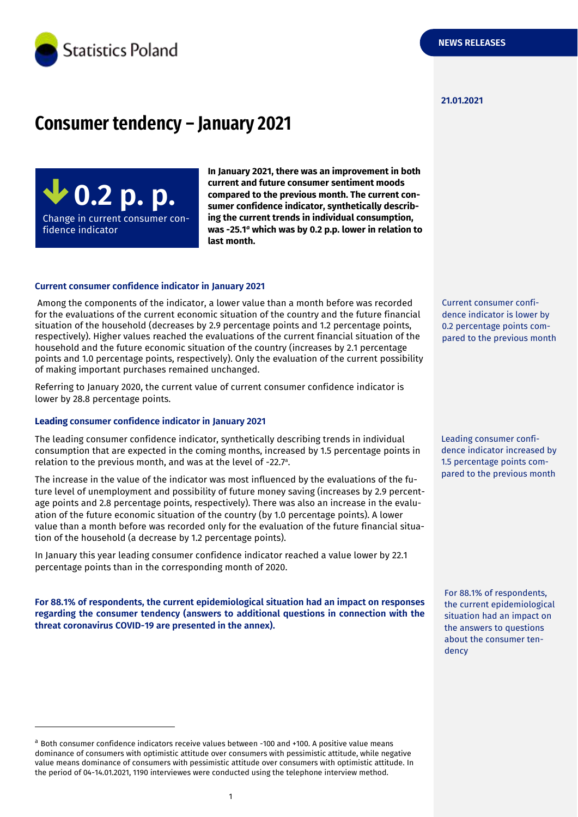

#### **21.01.2021**

# **Consumer tendency – January 2021**

**0.2 p. p.** Change in current consumer confidence indicator

**In January 2021, there was an improvement in both current and future consumer sentiment moods compared to the previous month. The current consumer confidence indicator, synthetically describing the current trends in individual consumption, was -25.1** *<sup>a</sup>* **which was by 0.2 p.p. lower in relation to last month.**

# **Current consumer confidence indicator in January 2021**

Among the components of the indicator, a lower value than a month before was recorded for the evaluations of the current economic situation of the country and the future financial situation of the household (decreases by 2.9 percentage points and 1.2 percentage points, respectively). Higher values reached the evaluations of the current financial situation of the household and the future economic situation of the country (increases by 2.1 percentage points and 1.0 percentage points, respectively). Only the evaluation of the current possibility of making important purchases remained unchanged.

Referring to January 2020, the current value of current consumer confidence indicator is lower by 28.8 percentage points.

#### **Leading consumer confidence indicator in January 2021**

-

The leading consumer confidence indicator, synthetically describing trends in individual consumption that are expected in the coming months, increased by 1.5 percentage points in relation to the previous month, and was at the level of -22.7 a .

The increase in the value of the indicator was most influenced by the evaluations of the future level of unemployment and possibility of future money saving (increases by 2.9 percentage points and 2.8 percentage points, respectively). There was also an increase in the evaluation of the future economic situation of the country (by 1.0 percentage points). A lower value than a month before was recorded only for the evaluation of the future financial situation of the household (a decrease by 1.2 percentage points).

In January this year leading consumer confidence indicator reached a value lower by 22.1 percentage points than in the corresponding month of 2020.

**For 88.1% of respondents, the current epidemiological situation had an impact on responses regarding the consumer tendency (answers to additional questions in connection with the threat coronavirus COVID-19 are presented in the annex).** 

Current consumer confidence indicator is lower by 0.2 percentage points compared to the previous month

Leading consumer confidence indicator increased by 1.5 percentage points compared to the previous month

For 88.1% of respondents, the current epidemiological situation had an impact on the answers to questions about the consumer tendency

<sup>a</sup> Both consumer confidence indicators receive values between -100 and +100. A positive value means dominance of consumers with optimistic attitude over consumers with pessimistic attitude, while negative value means dominance of consumers with pessimistic attitude over consumers with optimistic attitude. In the period of 04-14.01.2021, 1190 interviewes were conducted using the telephone interview method.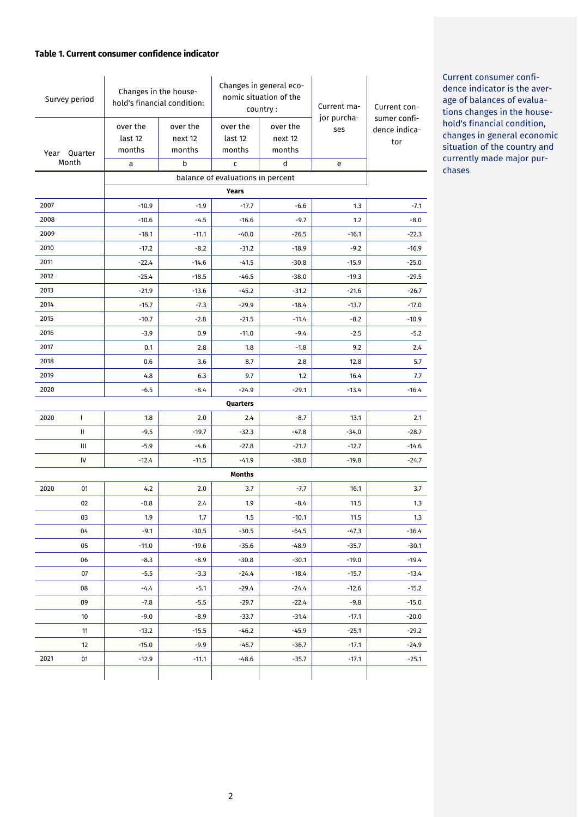# **Table 1. Current consumer confidence indicator**

| Survey period            |              | Changes in the house-<br>hold's financial condition: |                               | Changes in general eco-<br>nomic situation of the<br>country: |                               | Current ma-        | Current con-                         |  |  |
|--------------------------|--------------|------------------------------------------------------|-------------------------------|---------------------------------------------------------------|-------------------------------|--------------------|--------------------------------------|--|--|
| Year<br>Quarter<br>Month |              | over the<br>last 12<br>months                        | over the<br>next 12<br>months | over the<br>last 12<br>months                                 | over the<br>next 12<br>months | jor purcha-<br>ses | sumer confi-<br>dence indica-<br>tor |  |  |
|                          |              | a                                                    | b                             | c                                                             | d                             | e                  |                                      |  |  |
|                          |              |                                                      |                               | balance of evaluations in percent                             |                               |                    |                                      |  |  |
|                          | <b>Years</b> |                                                      |                               |                                                               |                               |                    |                                      |  |  |
| 2007                     |              | $-10.9$                                              | $-1.9$                        | $-17.7$                                                       | $-6.6$                        | 1.3                | $-7.1$                               |  |  |
| 2008                     |              | $-10.6$                                              | $-4.5$                        | $-16.6$                                                       | $-9.7$                        | 1.2                | $-8.0$                               |  |  |
| 2009                     |              | $-18.1$                                              | $-11.1$                       | $-40.0$                                                       | -26.5                         | $-16.1$            | $-22.3$                              |  |  |
| 2010                     |              | $-17.2$                                              | $-8.2$                        | $-31.2$                                                       | $-18.9$                       | $-9.2$             | $-16.9$                              |  |  |
| 2011                     |              | $-22.4$                                              | $-14.6$                       | $-41.5$                                                       | $-30.8$                       | $-15.9$            | $-25.0$                              |  |  |
| 2012                     |              | $-25.4$                                              | $-18.5$                       | $-46.5$                                                       | $-38.0$                       | $-19.3$            | $-29.5$                              |  |  |
| 2013                     |              | $-21.9$                                              | $-13.6$                       | $-45.2$                                                       | $-31.2$                       | $-21.6$            | $-26.7$                              |  |  |
| 2014                     |              | $-15.7$                                              | $-7.3$                        | $-29.9$                                                       | $-18.4$                       | $-13.7$            | $-17.0$                              |  |  |
| 2015                     |              | $-10.7$                                              | $-2.8$                        | $-21.5$                                                       | $-11.4$                       | $-8.2$             | $-10.9$                              |  |  |
| 2016                     |              | $-3.9$                                               | 0.9                           | $-11.0$                                                       | $-9.4$                        | $-2.5$             | $-5.2$                               |  |  |
| 2017                     |              | 0.1                                                  | 2.8                           | 1.8                                                           | $-1.8$                        | 9.2                | 2.4                                  |  |  |
| 2018                     |              | 0.6                                                  | 3.6                           | 8.7                                                           | 2.8                           | 12.8               | 5.7                                  |  |  |
| 2019                     |              | 4.8                                                  | 6.3                           | 9.7                                                           | 1.2                           | 16.4               | 7.7                                  |  |  |
| 2020                     |              | $-6.5$                                               | $-8.4$                        | $-24.9$                                                       | $-29.1$                       | $-13.4$            | $-16.4$                              |  |  |
|                          |              |                                                      |                               | Quarters                                                      |                               |                    |                                      |  |  |
| 2020                     | $\mathbf{I}$ | 1.8                                                  | 2.0                           | 2.4                                                           | $-8.7$                        | 13.1               | 2.1                                  |  |  |
|                          | Ш            | $-9.5$                                               | $-19.7$                       | $-32.3$                                                       | $-47.8$                       | $-34.0$            | $-28.7$                              |  |  |
|                          | Ш            | $-5.9$                                               | $-4.6$                        | $-27.8$                                                       | $-21.7$                       | $-12.7$            | $-14.6$                              |  |  |
|                          | IV           | $-12.4$                                              | $-11.5$                       | $-41.9$                                                       | $-38.0$                       | $-19.8$            | $-24.7$                              |  |  |
|                          |              |                                                      |                               | <b>Months</b>                                                 |                               |                    |                                      |  |  |
| 2020                     | 01           | 4.2                                                  | 2.0                           | 3.7                                                           | $-7.7$                        | 16.1               | 3.7                                  |  |  |
|                          | 02           | $-0.8$                                               | 2.4                           | 1.9                                                           | $-8.4$                        | 11.5               | 1.3                                  |  |  |
|                          | 03           | 1.9                                                  | 1.7                           | 1.5                                                           | $-10.1$                       | 11.5               | 1.3                                  |  |  |
|                          | 04           | $-9.1$                                               | $-30.5$                       | $-30.5$                                                       | $-64.5$                       | $-47.3$            | $-36.4$                              |  |  |
|                          | 05           | $-11.0$                                              | $-19.6$                       | $-35.6$                                                       | $-48.9$                       | $-35.7$            | $-30.1$                              |  |  |
|                          | 06           | $-8.3$                                               | $-8.9$                        | $-30.8$                                                       | $-30.1$                       | $-19.0$            | $-19.4$                              |  |  |
|                          | 07           | $-5.5$                                               | $-3.3$                        | $-24.4$                                                       | $-18.4$                       | $-15.7$            | $-13.4$                              |  |  |
|                          | 08           | $-4.4$                                               | $-5.1$                        | $-29.4$                                                       | $-24.4$                       | $-12.6$            | $-15.2$                              |  |  |
|                          | 09           | $-7.8$                                               | $-5.5$                        | $-29.7$                                                       | $-22.4$                       | $-9.8$             | $-15.0$                              |  |  |
|                          | 10           | $-9.0$                                               | $-8.9$                        | $-33.7$                                                       | $-31.4$                       | $-17.1$            | $-20.0$                              |  |  |
|                          | 11           | $-13.2$                                              | $-15.5$                       | $-46.2$                                                       | $-45.9$                       | $-25.1$            | $-29.2$                              |  |  |
|                          | 12           | $-15.0$                                              | $-9.9$                        | $-45.7$                                                       | $-36.7$                       | $-17.1$            | $-24.9$                              |  |  |
| 2021                     | 01           | $-12.9$                                              | $-11.1$                       | -48.6                                                         | $-35.7$                       | $-17.1$            | $-25.1$                              |  |  |
|                          |              |                                                      |                               |                                                               |                               |                    |                                      |  |  |

Current consumer confidence indicator is the average of balances of evaluations changes in the household's financial condition, changes in general economic situation of the country and currently made major purchases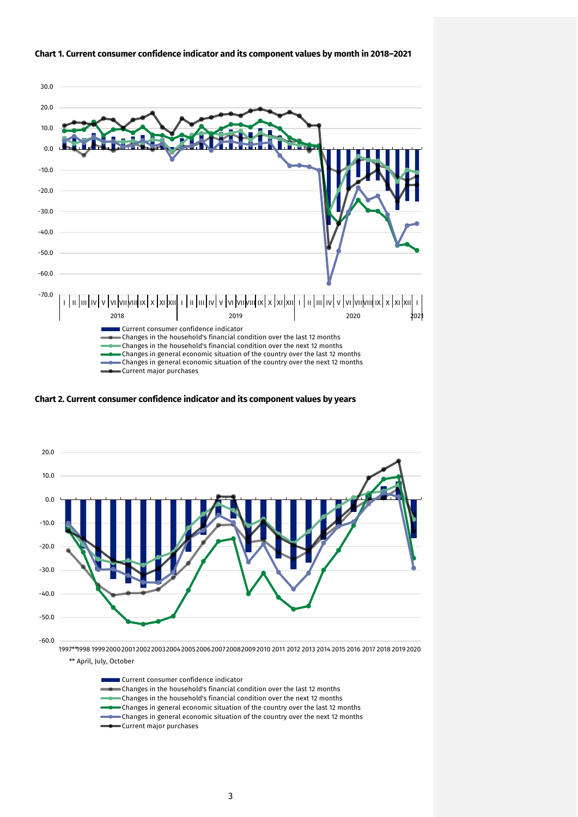

# **Chart 1. Current consumer confidence indicator and its component values by month in 2018–2021**

**Chart 2. Current consumer confidence indicator and its component values by years**



\*\* April, July, October

Current consumer confidence indicator Changes in the household's financial condition over the last 12 months Changes in the household's financial condition over the next 12 months Changes in general economic situation of the country over the last 12 months  $\bullet$  Changes in general economic situation of the country over the next 12 months Current major purchases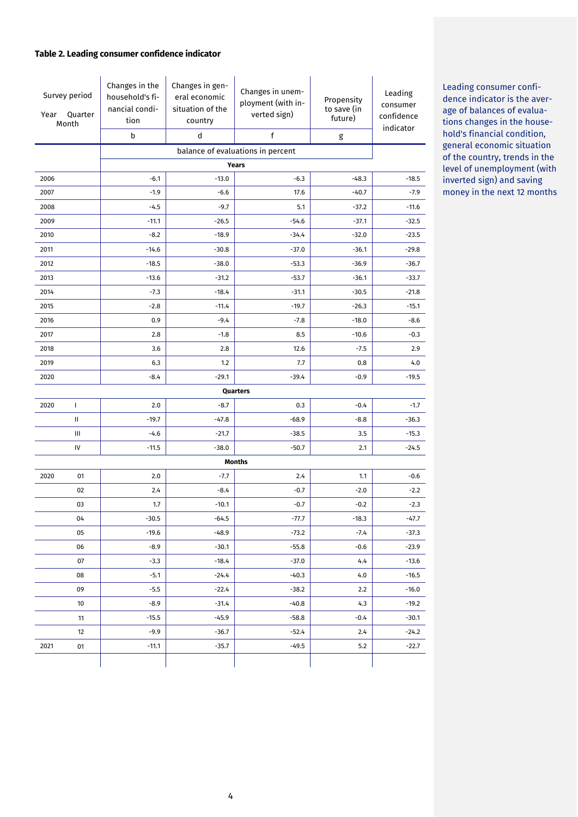# **Table 2. Leading consumer confidence indicator**

| Year         | Survey period<br>Quarter<br>Month | Changes in the<br>household's fi-<br>nancial condi-<br>tion<br>b | Changes in gen-<br>eral economic<br>situation of the<br>country<br>d | Changes in unem-<br>ployment (with in-<br>verted sign)<br>f | Propensity<br>to save (in<br>future)<br>g | Leading<br>consumer<br>confidence<br>indicator |  |  |
|--------------|-----------------------------------|------------------------------------------------------------------|----------------------------------------------------------------------|-------------------------------------------------------------|-------------------------------------------|------------------------------------------------|--|--|
|              | balance of evaluations in percent |                                                                  |                                                                      |                                                             |                                           |                                                |  |  |
| <b>Years</b> |                                   |                                                                  |                                                                      |                                                             |                                           |                                                |  |  |
| 2006         |                                   | $-6.1$                                                           | $-13.0$                                                              | $-6.3$                                                      | $-48.3$                                   | $-18.5$                                        |  |  |
| 2007         |                                   | $-1.9$                                                           | $-6.6$                                                               | 17.6                                                        | $-40.7$                                   | $-7.9$                                         |  |  |
| 2008         |                                   | $-4.5$                                                           | $-9.7$                                                               | 5.1                                                         | $-37.2$                                   | $-11.6$                                        |  |  |
| 2009         |                                   | $-11.1$                                                          | $-26.5$                                                              | $-54.6$                                                     | $-37.1$                                   | $-32.5$                                        |  |  |
| 2010         |                                   | $-8.2$                                                           | $-18.9$                                                              | $-34.4$                                                     | $-32.0$                                   | $-23.5$                                        |  |  |
| 2011         |                                   | $-14.6$                                                          | $-30.8$                                                              | $-37.0$                                                     | $-36.1$                                   | $-29.8$                                        |  |  |
| 2012         |                                   | $-18.5$                                                          | $-38.0$                                                              | $-53.3$                                                     | $-36.9$                                   | $-36.7$                                        |  |  |
| 2013         |                                   | $-13.6$                                                          | $-31.2$                                                              | $-53.7$                                                     | $-36.1$                                   | $-33.7$                                        |  |  |
| 2014         |                                   | $-7.3$                                                           | $-18.4$                                                              | $-31.1$                                                     | $-30.5$                                   | $-21.8$                                        |  |  |
| 2015         |                                   | $-2.8$                                                           | $-11.4$                                                              | $-19.7$                                                     | $-26.3$                                   | $-15.1$                                        |  |  |
| 2016         |                                   | 0.9                                                              | $-9.4$                                                               | $-7.8$                                                      | $-18.0$                                   | $-8.6$                                         |  |  |
| 2017         |                                   | 2.8                                                              | $-1.8$                                                               | 8.5                                                         | $-10.6$                                   | $-0.3$                                         |  |  |
| 2018         |                                   | 3.6                                                              | 2.8                                                                  | 12.6                                                        | $-7.5$                                    | 2.9                                            |  |  |
| 2019         |                                   | 6.3                                                              | 1.2                                                                  | 7.7                                                         | 0.8                                       | 4.0                                            |  |  |
| 2020         |                                   | $-8.4$                                                           | $-29.1$                                                              | $-39.4$                                                     | $-0.9$                                    | $-19.5$                                        |  |  |
|              |                                   |                                                                  |                                                                      | Quarters                                                    |                                           |                                                |  |  |
| 2020         | L                                 | 2.0                                                              | $-8.7$                                                               | 0.3                                                         | $-0.4$                                    | $-1.7$                                         |  |  |
|              | Ш                                 | $-19.7$                                                          | $-47.8$                                                              | $-68.9$                                                     | $-8.8$                                    | $-36.3$                                        |  |  |
|              | Ш                                 | $-4.6$                                                           | $-21.7$                                                              | $-38.5$                                                     | 3.5                                       | $-15.3$                                        |  |  |
|              | IV                                | $-11.5$                                                          | $-38.0$                                                              | $-50.7$                                                     | 2.1                                       | $-24.5$                                        |  |  |
|              |                                   |                                                                  |                                                                      | <b>Months</b>                                               |                                           |                                                |  |  |
| 2020         | 01                                | 2.0                                                              | $-7.7$                                                               | 2.4                                                         | 1.1                                       | $-0.6$                                         |  |  |
|              | 02                                | 2.4                                                              | $-8.4$                                                               | $-0.7$                                                      | $-2.0$                                    | $-2.2$                                         |  |  |
|              | 03                                | 1.7                                                              | $-10.1$                                                              | $-0.7$                                                      | $-0.2$                                    | $-2.3$                                         |  |  |
|              | 04                                | $-30.5$                                                          | $-64.5$                                                              | $-77.7$                                                     | $-18.3$                                   | $-47.7$                                        |  |  |
|              | 05                                | $-19.6$                                                          | $-48.9$                                                              | $-73.2$                                                     | $-7.4$                                    | $-37.3$                                        |  |  |
|              | 06                                | $-8.9$                                                           | $-30.1$                                                              | $-55.8$                                                     | $-0.6$                                    | $-23.9$                                        |  |  |
|              | 07                                | $-3.3$                                                           | $-18.4$                                                              | $-37.0$                                                     | 4.4                                       | $-13.6$                                        |  |  |
|              | 08                                | $-5.1$                                                           | $-24.4$                                                              | $-40.3$                                                     | 4.0                                       | $-16.5$                                        |  |  |
|              | 09                                | $-5.5$                                                           | $-22.4$                                                              | $-38.2$                                                     | 2.2                                       | $-16.0$                                        |  |  |
|              | 10                                | $-8.9$                                                           | $-31.4$                                                              | $-40.8$                                                     | 4.3                                       | $-19.2$                                        |  |  |
|              | 11                                | $-15.5$                                                          | $-45.9$                                                              | $-58.8$                                                     | $-0.4$                                    | $-30.1$                                        |  |  |
|              | 12                                | $-9.9$                                                           | $-36.7$                                                              | $-52.4$                                                     | 2.4                                       | $-24.2$                                        |  |  |
| 2021         | 01                                | $-11.1$                                                          | $-35.7$                                                              | $-49.5$                                                     | 5.2                                       | $-22.7$                                        |  |  |
|              |                                   |                                                                  |                                                                      |                                                             |                                           |                                                |  |  |

Leading consumer confidence indicator is the average of balances of evaluations changes in the household's financial condition, general economic situation of the country, trends in the level of unemployment (with inverted sign) and saving money in the next 12 months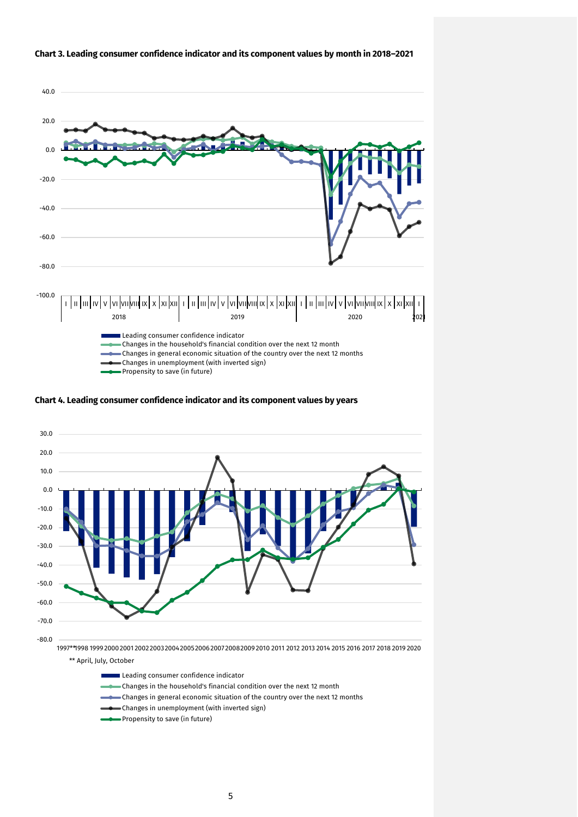

#### **Chart 3. Leading consumer confidence indicator and its component values by month in 2018–2021**

**Chart 4. Leading consumer confidence indicator and its component values by years**



Leading consumer confidence indicator

- Changes in the household's financial condition over the next 12 month
- Changes in general economic situation of the country over the next 12 months
- Changes in unemployment (with inverted sign)
- Propensity to save (in future)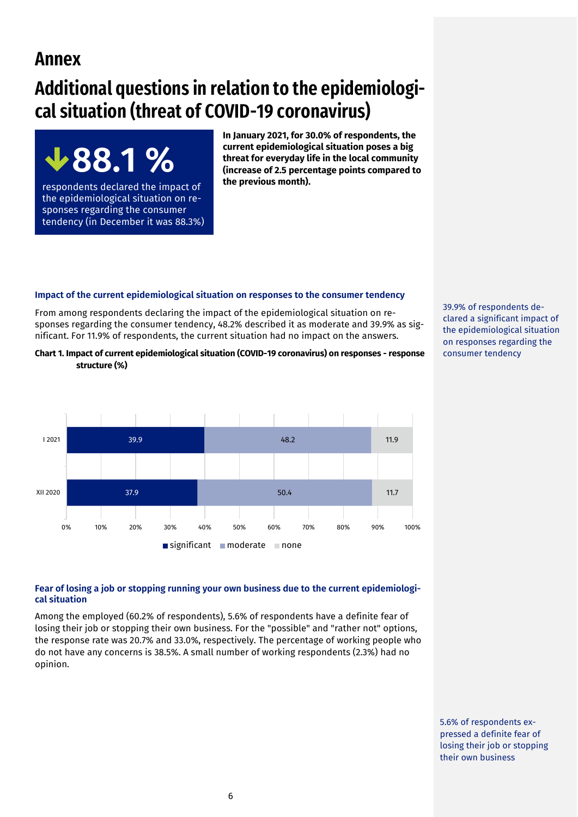# **Annex**

# **Additional questions in relation to the epidemiological situation (threat of COVID-19 coronavirus)**



respondents declared the impact of the epidemiological situation on responses regarding the consumer tendency (in December it was 88.3%) **In January 2021, for 30.0% of respondents, the current epidemiological situation poses a big threat for everyday life in the local community (increase of 2.5 percentage points compared to the previous month).** 

# **Impact of the current epidemiological situation on responses to the consumer tendency**

From among respondents declaring the impact of the epidemiological situation on responses regarding the consumer tendency, 48.2% described it as moderate and 39.9% as significant. For 11.9% of respondents, the current situation had no impact on the answers.





# **Fear of losing a job or stopping running your own business due to the current epidemiological situation**

Among the employed (60.2% of respondents), 5.6% of respondents have a definite fear of losing their job or stopping their own business. For the "possible" and "rather not" options, the response rate was 20.7% and 33.0%, respectively. The percentage of working people who do not have any concerns is 38.5%. A small number of working respondents (2.3%) had no opinion.

39.9% of respondents declared a significant impact of the epidemiological situation on responses regarding the consumer tendency

5.6% of respondents expressed a definite fear of losing their job or stopping their own business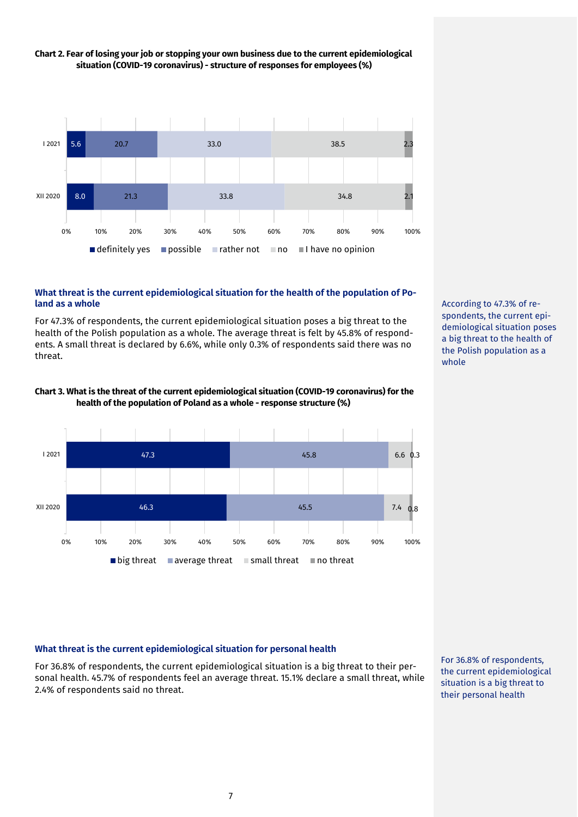

# **Chart 2. Fear of losing your job or stopping your own business due to the current epidemiological situation (COVID-19 coronavirus) - structure of responses for employees (%)**

# **What threat is the current epidemiological situation for the health of the population of Poland as a whole**

For 47.3% of respondents, the current epidemiological situation poses a big threat to the health of the Polish population as a whole. The average threat is felt by 45.8% of respondents. A small threat is declared by 6.6%, while only 0.3% of respondents said there was no threat.



**Chart 3. What is the threat of the current epidemiological situation (COVID-19 coronavirus) for the health of the population of Poland as a whole - response structure (%)**

According to 47.3% of respondents, the current epidemiological situation poses a big threat to the health of the Polish population as a whole

# **What threat is the current epidemiological situation for personal health**

For 36.8% of respondents, the current epidemiological situation is a big threat to their personal health. 45.7% of respondents feel an average threat. 15.1% declare a small threat, while 2.4% of respondents said no threat.

For 36.8% of respondents, the current epidemiological situation is a big threat to their personal health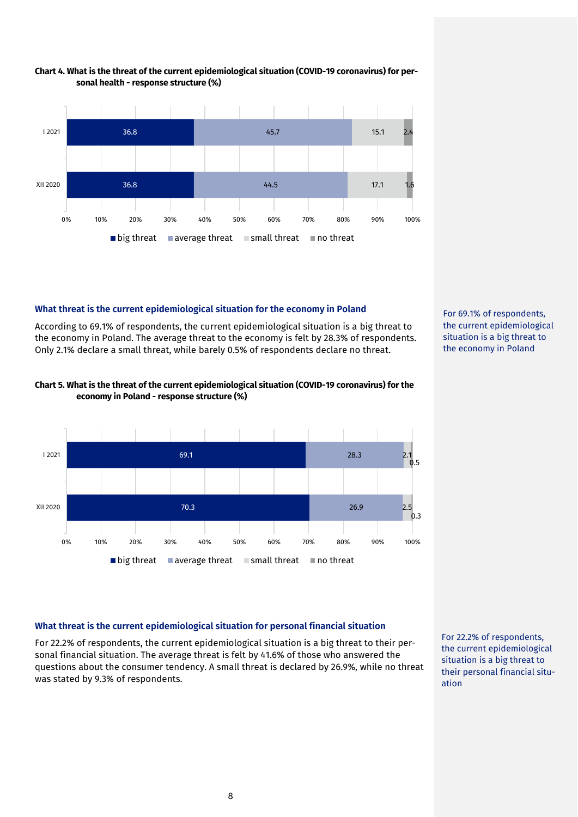

#### **Chart 4. What is the threat of the current epidemiological situation (COVID-19 coronavirus) for personal health - response structure (%)**

# **What threat is the current epidemiological situation for the economy in Poland**

According to 69.1% of respondents, the current epidemiological situation is a big threat to the economy in Poland. The average threat to the economy is felt by 28.3% of respondents. Only 2.1% declare a small threat, while barely 0.5% of respondents declare no threat.



# **Chart 5. What is the threat of the current epidemiological situation (COVID-19 coronavirus) for the economy in Poland - response structure (%)**



# **What threat is the current epidemiological situation for personal financial situation**

For 22.2% of respondents, the current epidemiological situation is a big threat to their personal financial situation. The average threat is felt by 41.6% of those who answered the questions about the consumer tendency. A small threat is declared by 26.9%, while no threat was stated by 9.3% of respondents.

For 22.2% of respondents, the current epidemiological situation is a big threat to their personal financial situation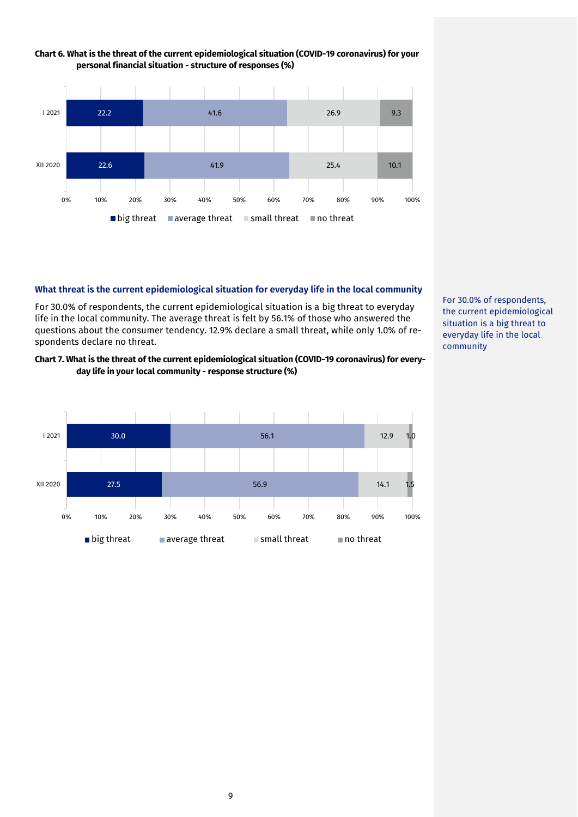

# **Chart 6. What is the threat of the current epidemiological situation (COVID-19 coronavirus) for your personal financial situation - structure of responses (%)**

#### **What threat is the current epidemiological situation for everyday life in the local community**

For 30.0% of respondents, the current epidemiological situation is a big threat to everyday life in the local community. The average threat is felt by 56.1% of those who answered the questions about the consumer tendency. 12.9% declare a small threat, while only 1.0% of respondents declare no threat.

# **Chart 7. What is the threat of the current epidemiological situation (COVID-19 coronavirus) for everyday life in your local community - response structure (%)**



For 30.0% of respondents, the current epidemiological situation is a big threat to everyday life in the local community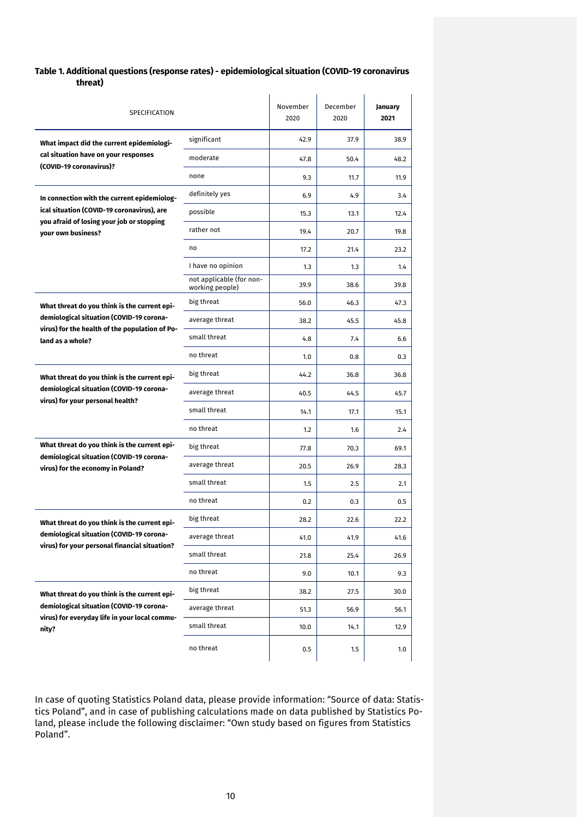# **Table 1. Additional questions (response rates) - epidemiological situation (COVID-19 coronavirus threat)**

| SPECIFICATION                                                                              |                                             | November<br>2020 | December<br>2020 | January<br>2021 |
|--------------------------------------------------------------------------------------------|---------------------------------------------|------------------|------------------|-----------------|
| What impact did the current epidemiologi-                                                  | significant                                 | 42.9             | 37.9             | 38.9            |
| cal situation have on your responses<br>(COVID-19 coronavirus)?                            | moderate                                    | 47.8             | 50.4             | 48.2            |
|                                                                                            | none                                        | 9.3              | 11.7             | 11.9            |
| In connection with the current epidemiolog-                                                | definitely yes                              | 6.9              | 4.9              | 3.4             |
| ical situation (COVID-19 coronavirus), are<br>you afraid of losing your job or stopping    | possible                                    | 15.3             | 13.1             | 12.4            |
| vour own business?                                                                         | rather not                                  | 19.4             | 20.7             | 19.8            |
|                                                                                            | no                                          | 17.2             | 21.4             | 23.2            |
|                                                                                            | I have no opinion                           | 1.3              | 1.3              | 1.4             |
|                                                                                            | not applicable (for non-<br>working people) | 39.9             | 38.6             | 39.8            |
| What threat do you think is the current epi-                                               | big threat                                  | 56.0             | 46.3             | 47.3            |
| demiological situation (COVID-19 corona-<br>virus) for the health of the population of Po- | average threat                              | 38.2             | 45.5             | 45.8            |
| land as a whole?                                                                           | small threat                                | 4.8              | 7.4              | 6.6             |
|                                                                                            | no threat                                   | 1.0              | 0.8              | 0.3             |
| What threat do you think is the current epi-                                               | big threat                                  | 44.2             | 36.8             | 36.8            |
| demiological situation (COVID-19 corona-<br>virus) for your personal health?               | average threat                              | 40.5             | 44.5             | 45.7            |
|                                                                                            | small threat                                | 14.1             | 17.1             | 15.1            |
|                                                                                            | no threat                                   | 1.2              | 1.6              | 2.4             |
| What threat do you think is the current epi-                                               | big threat                                  | 77.8             | 70.3             | 69.1            |
| demiological situation (COVID-19 corona-<br>virus) for the economy in Poland?              | average threat                              | 20.5             | 26.9             | 28.3            |
|                                                                                            | small threat                                | 1.5              | 2.5              | 2.1             |
|                                                                                            | no threat                                   | 0.2              | 0.3              | 0.5             |
| What threat do you think is the current epi-                                               | big threat                                  | 28.2             | 22.6             | 22.2            |
| demiological situation (COVID-19 corona-<br>virus) for your personal financial situation?  | average threat                              | 41.0             | 41.9             | 41.6            |
|                                                                                            | small threat                                | 21.8             | 25.4             | 26.9            |
|                                                                                            | no threat                                   | 9.0              | 10.1             | 9.3             |
| What threat do you think is the current epi-                                               | big threat                                  | 38.2             | 27.5             | 30.0            |
| demiological situation (COVID-19 corona-<br>virus) for everyday life in your local commu-  | average threat                              | 51.3             | 56.9             | 56.1            |
| nity?                                                                                      | small threat                                | 10.0             | 14.1             | 12.9            |
|                                                                                            | no threat                                   | 0.5              | 1.5              | 1.0             |

In case of quoting Statistics Poland data, please provide information: "Source of data: Statistics Poland", and in case of publishing calculations made on data published by Statistics Poland, please include the following disclaimer: "Own study based on figures from Statistics Poland".